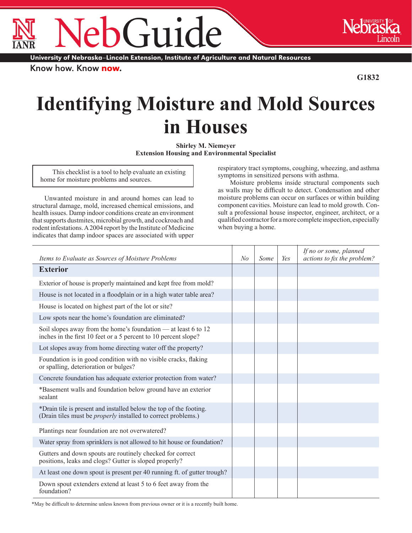Guid ®

University of Nebraska-Lincoln Extension, Institute of Agriculture and Natural Resources

Know how. Know now.

**G1832**

®

## **Identifying Moisture and Mold Sources in Houses**

**Shirley M. Niemeyer Extension Housing and Environmental Specialist**

This checklist is a tool to help evaluate an existing home for moisture problems and sources.

Unwanted moisture in and around homes can lead to structural damage, mold, increased chemical emissions, and health issues. Damp indoor conditions create an environment that supports dustmites, microbial growth, and cockroach and rodent infestations. A 2004 report by the Institute of Medicine indicates that damp indoor spaces are associated with upper

respiratory tract symptoms, coughing, wheezing, and asthma symptoms in sensitized persons with asthma.

Moisture problems inside structural components such as walls may be difficult to detect. Condensation and other moisture problems can occur on surfaces or within building component cavities. Moisture can lead to mold growth. Consult a professional house inspector, engineer, architect, or a qualified contractor for a more complete inspection, especially when buying a home.

| Items to Evaluate as Sources of Moisture Problems                                                                                          | No | Some | Yes | If no or some, planned<br>actions to fix the problem? |
|--------------------------------------------------------------------------------------------------------------------------------------------|----|------|-----|-------------------------------------------------------|
| <b>Exterior</b>                                                                                                                            |    |      |     |                                                       |
| Exterior of house is properly maintained and kept free from mold?                                                                          |    |      |     |                                                       |
| House is not located in a floodplain or in a high water table area?                                                                        |    |      |     |                                                       |
| House is located on highest part of the lot or site?                                                                                       |    |      |     |                                                       |
| Low spots near the home's foundation are eliminated?                                                                                       |    |      |     |                                                       |
| Soil slopes away from the home's foundation — at least 6 to 12<br>inches in the first 10 feet or a 5 percent to 10 percent slope?          |    |      |     |                                                       |
| Lot slopes away from home directing water off the property?                                                                                |    |      |     |                                                       |
| Foundation is in good condition with no visible cracks, flaking<br>or spalling, deterioration or bulges?                                   |    |      |     |                                                       |
| Concrete foundation has adequate exterior protection from water?                                                                           |    |      |     |                                                       |
| *Basement walls and foundation below ground have an exterior<br>sealant                                                                    |    |      |     |                                                       |
| *Drain tile is present and installed below the top of the footing.<br>(Drain tiles must be <i>properly</i> installed to correct problems.) |    |      |     |                                                       |
| Plantings near foundation are not overwatered?                                                                                             |    |      |     |                                                       |
| Water spray from sprinklers is not allowed to hit house or foundation?                                                                     |    |      |     |                                                       |
| Gutters and down spouts are routinely checked for correct<br>positions, leaks and clogs? Gutter is sloped properly?                        |    |      |     |                                                       |
| At least one down spout is present per 40 running ft. of gutter trough?                                                                    |    |      |     |                                                       |
| Down spout extenders extend at least 5 to 6 feet away from the<br>foundation?                                                              |    |      |     |                                                       |

\*May be difficult to determine unless known from previous owner or it is a recently built home.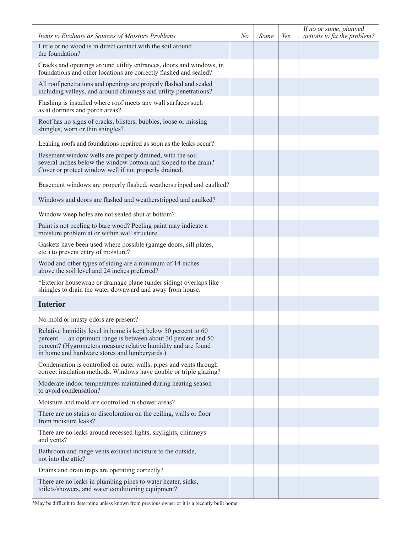| Items to Evaluate as Sources of Moisture Problems                                                                                                                                                                                                 | No | Some | Yes | If no or some, planned<br>actions to fix the problem? |
|---------------------------------------------------------------------------------------------------------------------------------------------------------------------------------------------------------------------------------------------------|----|------|-----|-------------------------------------------------------|
| Little or no wood is in direct contact with the soil around<br>the foundation?                                                                                                                                                                    |    |      |     |                                                       |
| Cracks and openings around utility entrances, doors and windows, in<br>foundations and other locations are correctly flashed and sealed?                                                                                                          |    |      |     |                                                       |
| All roof penetrations and openings are properly flashed and sealed<br>including valleys, and around chimneys and utility penetrations?                                                                                                            |    |      |     |                                                       |
| Flashing is installed where roof meets any wall surfaces such<br>as at dormers and porch areas?                                                                                                                                                   |    |      |     |                                                       |
| Roof has no signs of cracks, blisters, bubbles, loose or missing<br>shingles, worn or thin shingles?                                                                                                                                              |    |      |     |                                                       |
| Leaking roofs and foundations repaired as soon as the leaks occur?                                                                                                                                                                                |    |      |     |                                                       |
| Basement window wells are properly drained, with the soil<br>several inches below the window bottom and sloped to the drain?<br>Cover or protect window well if not properly drained.                                                             |    |      |     |                                                       |
| Basement windows are properly flashed, weatherstripped and caulked?                                                                                                                                                                               |    |      |     |                                                       |
| Windows and doors are flashed and weatherstripped and caulked?                                                                                                                                                                                    |    |      |     |                                                       |
| Window weep holes are not sealed shut at bottom?                                                                                                                                                                                                  |    |      |     |                                                       |
| Paint is not peeling to bare wood? Peeling paint may indicate a<br>moisture problem at or within wall structure.                                                                                                                                  |    |      |     |                                                       |
| Gaskets have been used where possible (garage doors, sill plates,<br>etc.) to prevent entry of moisture?                                                                                                                                          |    |      |     |                                                       |
| Wood and other types of siding are a minimum of 14 inches<br>above the soil level and 24 inches preferred?                                                                                                                                        |    |      |     |                                                       |
| *Exterior housewrap or drainage plane (under siding) overlaps like<br>shingles to drain the water downward and away from house.                                                                                                                   |    |      |     |                                                       |
| <b>Interior</b>                                                                                                                                                                                                                                   |    |      |     |                                                       |
| No mold or musty odors are present?                                                                                                                                                                                                               |    |      |     |                                                       |
| Relative humidity level in home is kept below 50 percent to 60<br>percent — an optimum range is between about 30 percent and 50<br>percent? (Hygrometers measure relative humidity and are found<br>in home and hardware stores and lumberyards.) |    |      |     |                                                       |
| Condensation is controlled on outer walls, pipes and vents through<br>correct insulation methods. Windows have double or triple glazing?                                                                                                          |    |      |     |                                                       |
| Moderate indoor temperatures maintained during heating season<br>to avoid condensation?                                                                                                                                                           |    |      |     |                                                       |
| Moisture and mold are controlled in shower areas?                                                                                                                                                                                                 |    |      |     |                                                       |
| There are no stains or discoloration on the ceiling, walls or floor<br>from moisture leaks?                                                                                                                                                       |    |      |     |                                                       |
| There are no leaks around recessed lights, skylights, chimneys<br>and vents?                                                                                                                                                                      |    |      |     |                                                       |
| Bathroom and range vents exhaust moisture to the outside,<br>not into the attic?                                                                                                                                                                  |    |      |     |                                                       |
| Drains and drain traps are operating correctly?                                                                                                                                                                                                   |    |      |     |                                                       |
| There are no leaks in plumbing pipes to water heater, sinks,<br>toilets/showers, and water conditioning equipment?                                                                                                                                |    |      |     |                                                       |

\*May be difficult to determine unless known from previous owner or it is a recently built home.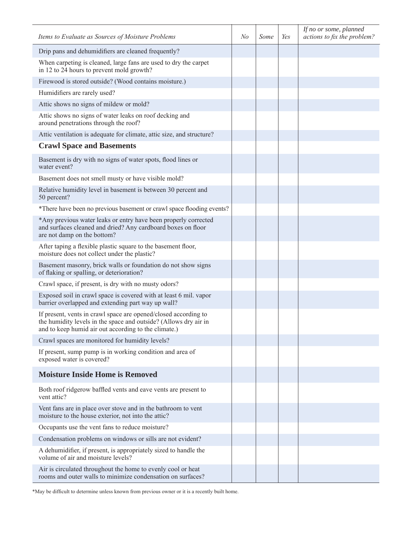| Items to Evaluate as Sources of Moisture Problems                                                                                                                                           | No | Some | Yes | If no or some, planned<br>actions to fix the problem? |
|---------------------------------------------------------------------------------------------------------------------------------------------------------------------------------------------|----|------|-----|-------------------------------------------------------|
| Drip pans and dehumidifiers are cleaned frequently?                                                                                                                                         |    |      |     |                                                       |
| When carpeting is cleaned, large fans are used to dry the carpet<br>in 12 to 24 hours to prevent mold growth?                                                                               |    |      |     |                                                       |
| Firewood is stored outside? (Wood contains moisture.)                                                                                                                                       |    |      |     |                                                       |
| Humidifiers are rarely used?                                                                                                                                                                |    |      |     |                                                       |
| Attic shows no signs of mildew or mold?                                                                                                                                                     |    |      |     |                                                       |
| Attic shows no signs of water leaks on roof decking and<br>around penetrations through the roof?                                                                                            |    |      |     |                                                       |
| Attic ventilation is adequate for climate, attic size, and structure?                                                                                                                       |    |      |     |                                                       |
| <b>Crawl Space and Basements</b>                                                                                                                                                            |    |      |     |                                                       |
| Basement is dry with no signs of water spots, flood lines or<br>water event?                                                                                                                |    |      |     |                                                       |
| Basement does not smell musty or have visible mold?                                                                                                                                         |    |      |     |                                                       |
| Relative humidity level in basement is between 30 percent and<br>50 percent?                                                                                                                |    |      |     |                                                       |
| *There have been no previous basement or crawl space flooding events?                                                                                                                       |    |      |     |                                                       |
| *Any previous water leaks or entry have been properly corrected<br>and surfaces cleaned and dried? Any cardboard boxes on floor<br>are not damp on the bottom?                              |    |      |     |                                                       |
| After taping a flexible plastic square to the basement floor,<br>moisture does not collect under the plastic?                                                                               |    |      |     |                                                       |
| Basement masonry, brick walls or foundation do not show signs<br>of flaking or spalling, or deterioration?                                                                                  |    |      |     |                                                       |
| Crawl space, if present, is dry with no musty odors?                                                                                                                                        |    |      |     |                                                       |
| Exposed soil in crawl space is covered with at least 6 mil. vapor<br>barrier overlapped and extending part way up wall?                                                                     |    |      |     |                                                       |
| If present, vents in crawl space are opened/closed according to<br>the humidity levels in the space and outside? (Allows dry air in<br>and to keep humid air out according to the climate.) |    |      |     |                                                       |
| Crawl spaces are monitored for humidity levels?                                                                                                                                             |    |      |     |                                                       |
| If present, sump pump is in working condition and area of<br>exposed water is covered?                                                                                                      |    |      |     |                                                       |
| <b>Moisture Inside Home is Removed</b>                                                                                                                                                      |    |      |     |                                                       |
| Both roof ridgerow baffled vents and eave vents are present to<br>vent attic?                                                                                                               |    |      |     |                                                       |
| Vent fans are in place over stove and in the bathroom to vent<br>moisture to the house exterior, not into the attic?                                                                        |    |      |     |                                                       |
| Occupants use the vent fans to reduce moisture?                                                                                                                                             |    |      |     |                                                       |
| Condensation problems on windows or sills are not evident?                                                                                                                                  |    |      |     |                                                       |
| A dehumidifier, if present, is appropriately sized to handle the<br>volume of air and moisture levels?                                                                                      |    |      |     |                                                       |
| Air is circulated throughout the home to evenly cool or heat<br>rooms and outer walls to minimize condensation on surfaces?                                                                 |    |      |     |                                                       |

\*May be difficult to determine unless known from previous owner or it is a recently built home.